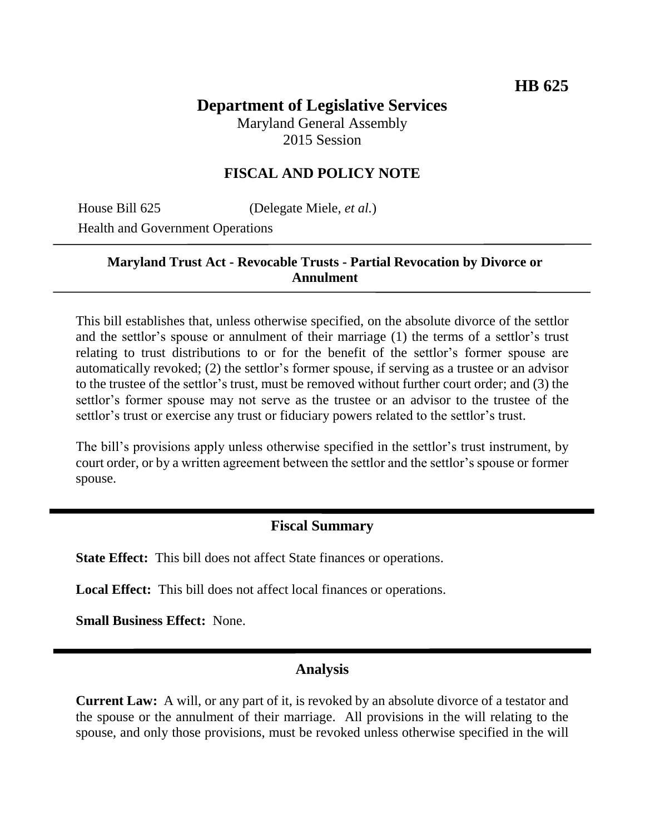#### **Department of Legislative Services** Maryland General Assembly 2015 Session

# **FISCAL AND POLICY NOTE**

House Bill 625 (Delegate Miele, *et al.*)

Health and Government Operations

#### **Maryland Trust Act - Revocable Trusts - Partial Revocation by Divorce or Annulment**

This bill establishes that, unless otherwise specified, on the absolute divorce of the settlor and the settlor's spouse or annulment of their marriage (1) the terms of a settlor's trust relating to trust distributions to or for the benefit of the settlor's former spouse are automatically revoked; (2) the settlor's former spouse, if serving as a trustee or an advisor to the trustee of the settlor's trust, must be removed without further court order; and (3) the settlor's former spouse may not serve as the trustee or an advisor to the trustee of the settlor's trust or exercise any trust or fiduciary powers related to the settlor's trust.

The bill's provisions apply unless otherwise specified in the settlor's trust instrument, by court order, or by a written agreement between the settlor and the settlor's spouse or former spouse.

## **Fiscal Summary**

**State Effect:** This bill does not affect State finances or operations.

**Local Effect:** This bill does not affect local finances or operations.

**Small Business Effect:** None.

### **Analysis**

**Current Law:** A will, or any part of it, is revoked by an absolute divorce of a testator and the spouse or the annulment of their marriage. All provisions in the will relating to the spouse, and only those provisions, must be revoked unless otherwise specified in the will